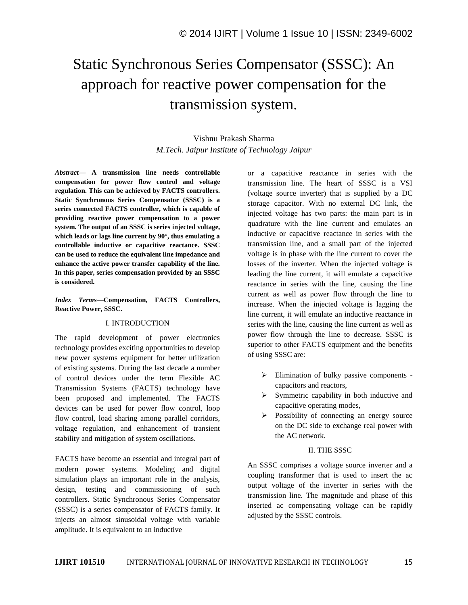# Static Synchronous Series Compensator (SSSC): An approach for reactive power compensation for the transmission system.

# Vishnu Prakash Sharma *M.Tech. Jaipur Institute of Technology Jaipur*

*Abstract*— **A transmission line needs controllable compensation for power flow control and voltage regulation. This can be achieved by FACTS controllers. Static Synchronous Series Compensator (SSSC) is a series connected FACTS controller, which is capable of providing reactive power compensation to a power system. The output of an SSSC is series injected voltage, which leads or lags line current by 90°, thus emulating a controllable inductive or capacitive reactance. SSSC can be used to reduce the equivalent line impedance and enhance the active power transfer capability of the line. In this paper, series compensation provided by an SSSC is considered.**

*Index Terms—***Compensation, FACTS Controllers, Reactive Power, SSSC.**

#### I. INTRODUCTION

The rapid development of power electronics technology provides exciting opportunities to develop new power systems equipment for better utilization of existing systems. During the last decade a number of control devices under the term Flexible AC Transmission Systems (FACTS) technology have been proposed and implemented. The FACTS devices can be used for power flow control, loop flow control, load sharing among parallel corridors, voltage regulation, and enhancement of transient stability and mitigation of system oscillations.

FACTS have become an essential and integral part of modern power systems. Modeling and digital simulation plays an important role in the analysis, design, testing and commissioning of such controllers. Static Synchronous Series Compensator (SSSC) is a series compensator of FACTS family. It injects an almost sinusoidal voltage with variable amplitude. It is equivalent to an inductive

or a capacitive reactance in series with the transmission line. The heart of SSSC is a VSI (voltage source inverter) that is supplied by a DC storage capacitor. With no external DC link, the injected voltage has two parts: the main part is in quadrature with the line current and emulates an inductive or capacitive reactance in series with the transmission line, and a small part of the injected voltage is in phase with the line current to cover the losses of the inverter. When the injected voltage is leading the line current, it will emulate a capacitive reactance in series with the line, causing the line current as well as power flow through the line to increase. When the injected voltage is lagging the line current, it will emulate an inductive reactance in series with the line, causing the line current as well as power flow through the line to decrease. SSSC is superior to other FACTS equipment and the benefits of using SSSC are:

- $\triangleright$  Elimination of bulky passive components capacitors and reactors,
- $\triangleright$  Symmetric capability in both inductive and capacitive operating modes,
- $\triangleright$  Possibility of connecting an energy source on the DC side to exchange real power with the AC network.

#### II. THE SSSC

An SSSC comprises a voltage source inverter and a coupling transformer that is used to insert the ac output voltage of the inverter in series with the transmission line. The magnitude and phase of this inserted ac compensating voltage can be rapidly adjusted by the SSSC controls.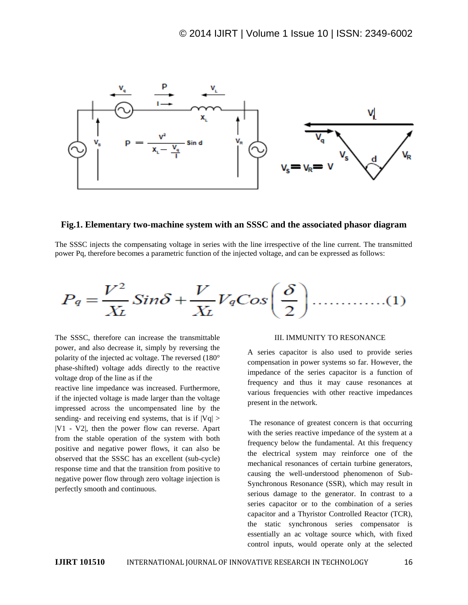

## **Fig.1. Elementary two-machine system with an SSSC and the associated phasor diagram**

The SSSC injects the compensating voltage in series with the line irrespective of the line current. The transmitted power Pq, therefore becomes a parametric function of the injected voltage, and can be expressed as follows:

$$
P_q = \frac{V^2}{X_L} Sin\delta + \frac{V}{X_L} V_q Cos\left(\frac{\delta}{2}\right) \dots \dots \dots \dots (1)
$$

The SSSC, therefore can increase the transmittable power, and also decrease it, simply by reversing the polarity of the injected ac voltage. The reversed (180° phase-shifted) voltage adds directly to the reactive voltage drop of the line as if the

reactive line impedance was increased. Furthermore, if the injected voltage is made larger than the voltage impressed across the uncompensated line by the sending- and receiving end systems, that is if  $|Vq|$  > |V1 - V2|, then the power flow can reverse. Apart from the stable operation of the system with both positive and negative power flows, it can also be observed that the SSSC has an excellent (sub-cycle) response time and that the transition from positive to negative power flow through zero voltage injection is perfectly smooth and continuous.

#### III. IMMUNITY TO RESONANCE

A series capacitor is also used to provide series compensation in power systems so far. However, the impedance of the series capacitor is a function of frequency and thus it may cause resonances at various frequencies with other reactive impedances present in the network.

The resonance of greatest concern is that occurring with the series reactive impedance of the system at a frequency below the fundamental. At this frequency the electrical system may reinforce one of the mechanical resonances of certain turbine generators, causing the well-understood phenomenon of Sub-Synchronous Resonance (SSR), which may result in serious damage to the generator. In contrast to a series capacitor or to the combination of a series capacitor and a Thyristor Controlled Reactor (TCR), the static synchronous series compensator is essentially an ac voltage source which, with fixed control inputs, would operate only at the selected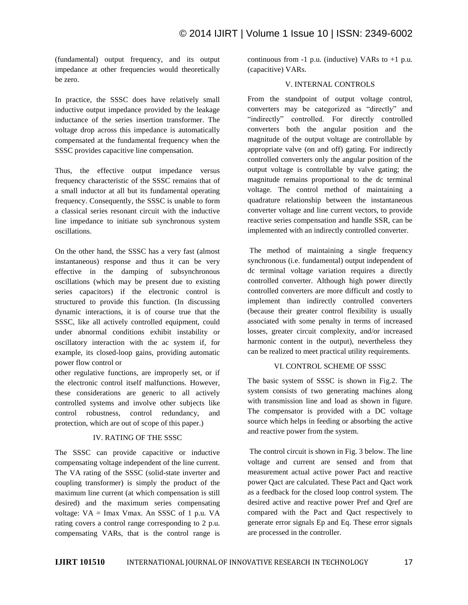(fundamental) output frequency, and its output impedance at other frequencies would theoretically be zero.

In practice, the SSSC does have relatively small inductive output impedance provided by the leakage inductance of the series insertion transformer. The voltage drop across this impedance is automatically compensated at the fundamental frequency when the SSSC provides capacitive line compensation.

Thus, the effective output impedance versus frequency characteristic of the SSSC remains that of a small inductor at all but its fundamental operating frequency. Consequently, the SSSC is unable to form a classical series resonant circuit with the inductive line impedance to initiate sub synchronous system oscillations.

On the other hand, the SSSC has a very fast (almost instantaneous) response and thus it can be very effective in the damping of subsynchronous oscillations (which may be present due to existing series capacitors) if the electronic control is structured to provide this function. (In discussing dynamic interactions, it is of course true that the SSSC, like all actively controlled equipment, could under abnormal conditions exhibit instability or oscillatory interaction with the ac system if, for example, its closed-loop gains, providing automatic power flow control or

other regulative functions, are improperly set, or if the electronic control itself malfunctions. However, these considerations are generic to all actively controlled systems and involve other subjects like control robustness, control redundancy, and protection, which are out of scope of this paper.)

## IV. RATING OF THE SSSC

The SSSC can provide capacitive or inductive compensating voltage independent of the line current. The VA rating of the SSSC (solid-state inverter and coupling transformer) is simply the product of the maximum line current (at which compensation is still desired) and the maximum series compensating voltage: VA = Imax Vmax. An SSSC of 1 p.u. VA rating covers a control range corresponding to 2 p.u. compensating VARs, that is the control range is continuous from  $-1$  p.u. (inductive) VARs to  $+1$  p.u. (capacitive) VARs.

## V. INTERNAL CONTROLS

From the standpoint of output voltage control, converters may be categorized as "directly" and "indirectly" controlled. For directly controlled converters both the angular position and the magnitude of the output voltage are controllable by appropriate valve (on and off) gating. For indirectly controlled converters only the angular position of the output voltage is controllable by valve gating; the magnitude remains proportional to the dc terminal voltage. The control method of maintaining a quadrature relationship between the instantaneous converter voltage and line current vectors, to provide reactive series compensation and handle SSR, can be implemented with an indirectly controlled converter.

The method of maintaining a single frequency synchronous (i.e. fundamental) output independent of dc terminal voltage variation requires a directly controlled converter. Although high power directly controlled converters are more difficult and costly to implement than indirectly controlled converters (because their greater control flexibility is usually associated with some penalty in terms of increased losses, greater circuit complexity, and/or increased harmonic content in the output), nevertheless they can be realized to meet practical utility requirements.

## VI. CONTROL SCHEME OF SSSC

The basic system of SSSC is shown in Fig.2. The system consists of two generating machines along with transmission line and load as shown in figure. The compensator is provided with a DC voltage source which helps in feeding or absorbing the active and reactive power from the system.

The control circuit is shown in Fig. 3 below. The line voltage and current are sensed and from that measurement actual active power Pact and reactive power Qact are calculated. These Pact and Qact work as a feedback for the closed loop control system. The desired active and reactive power Pref and Qref are compared with the Pact and Qact respectively to generate error signals Ep and Eq. These error signals are processed in the controller.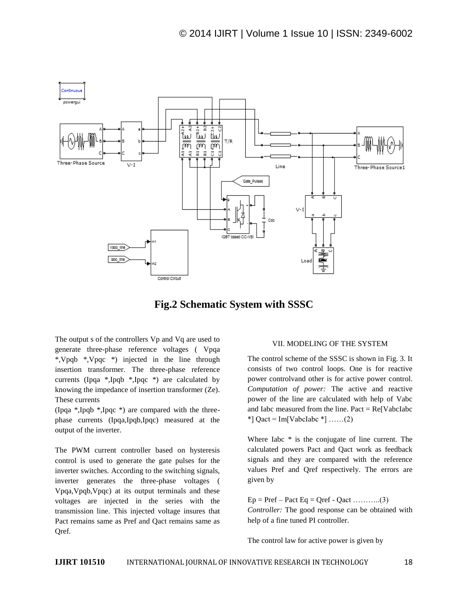

# **Fig.2 Schematic System with SSSC**

The output s of the controllers Vp and Vq are used to generate three-phase reference voltages ( Vpqa \*,Vpqb \*,Vpqc \*) injected in the line through insertion transformer. The three-phase reference currents (Ipqa \*,Ipqb \*,Ipqc \*) are calculated by knowing the impedance of insertion transformer (Ze). These currents

(Ipqa \*,Ipqb \*,Ipqc \*) are compared with the threephase currents (Ipqa,Ipqb,Ipqc) measured at the output of the inverter.

The PWM current controller based on hysteresis control is used to generate the gate pulses for the inverter switches. According to the switching signals, inverter generates the three-phase voltages ( Vpqa,Vpqb,Vpqc) at its output terminals and these voltages are injected in the series with the transmission line. This injected voltage insures that Pact remains same as Pref and Qact remains same as Qref.

#### VII. MODELING OF THE SYSTEM

The control scheme of the SSSC is shown in Fig. 3. It consists of two control loops. One is for reactive power controlvand other is for active power control. *Computation of power:* The active and reactive power of the line are calculated with help of Vabc and Iabc measured from the line.  $Pact = Re[VabcIabc]$  $*$ ] Qact = Im[VabcIabc  $*$ ] ……(2)

Where Iabc  $*$  is the conjugate of line current. The calculated powers Pact and Qact work as feedback signals and they are compared with the reference values Pref and Qref respectively. The errors are given by

 $Ep = Pref - Pact Eq = Qref - Qact \dots (3)$ *Controller:* The good response can be obtained with help of a fine tuned PI controller.

The control law for active power is given by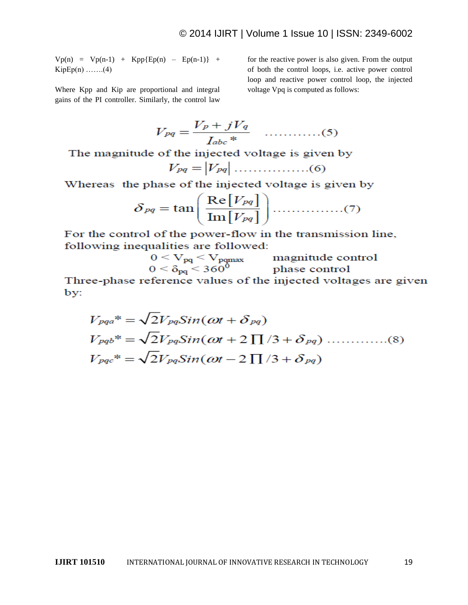$Vp(n) = Vp(n-1) + Kpp{Ep(n) - Ep(n-1)} +$  $KipEp(n)$  .......(4)

Where Kpp and Kip are proportional and integral gains of the PI controller. Similarly, the control law

for the reactive power is also given. From the output of both the control loops, i.e. active power control loop and reactive power control loop, the injected voltage Vpq is computed as follows:

$$
V_{pq} = \frac{V_p + jV_q}{I_{abc} *}
$$
 .........(5)

The magnitude of the injected voltage is given by

Whereas the phase of the injected voltage is given by

$$
\delta_{pq} = \tan\left(\frac{\text{Re}[V_{pq}]}{\text{Im}[V_{pq}]}\right) \dots \dots \dots \dots (7)
$$

For the control of the power-flow in the transmission line, following inequalities are followed:

$$
0 < V_{pq} < V_{pqmax} \qquad \text{magnitude control} 0 < \delta_{pq} < 360^0 \qquad \text{phase control}
$$

Three-phase reference values of the injected voltages are given by: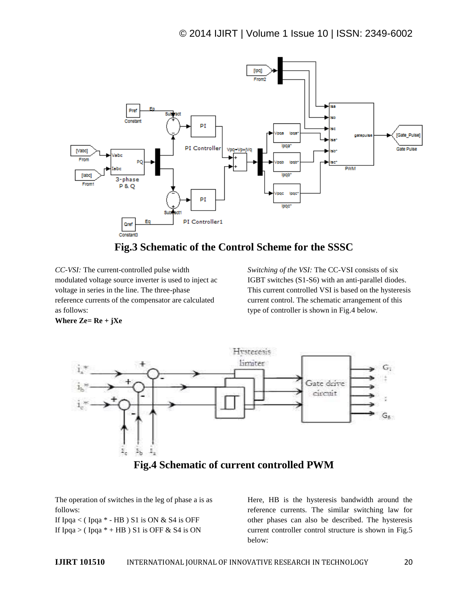



*CC-VSI:* The current-controlled pulse width modulated voltage source inverter is used to inject ac voltage in series in the line. The three-phase reference currents of the compensator are calculated as follows:

**Where Ze= Re + jXe**

*Switching of the VSI:* The CC-VSI consists of six IGBT switches (S1-S6) with an anti-parallel diodes. This current controlled VSI is based on the hysteresis current control. The schematic arrangement of this type of controller is shown in Fig.4 below.

Hysteresis limiter G. Gate deive circuit  $\mathsf{G}_5$  $\mathbb{F}_\mathbf{b}$ ž, **Fig.4 Schematic of current controlled PWM**

The operation of switches in the leg of phase a is as follows:

If Ipqa < (Ipqa  $*$  - HB) S1 is ON & S4 is OFF If Ipqa > (Ipqa  $*$  + HB) S1 is OFF & S4 is ON

Here, HB is the hysteresis bandwidth around the reference currents. The similar switching law for other phases can also be described. The hysteresis current controller control structure is shown in Fig.5 below: